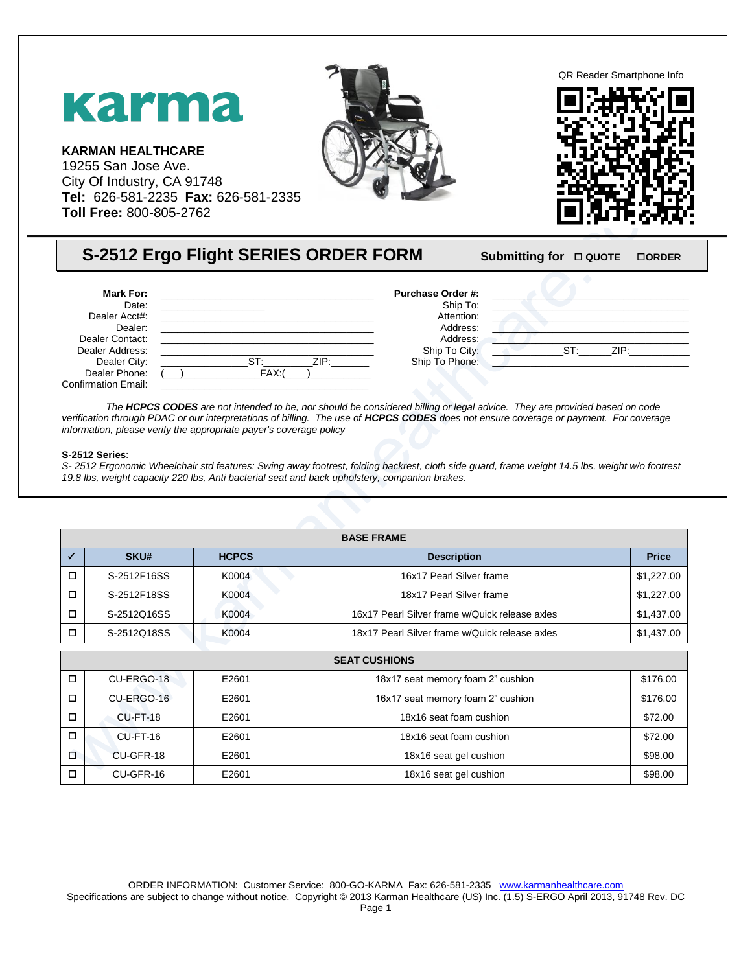

## **S-2512 Ergo Flight SERIES ORDER FORM** Submitting for **DIQUOTE** DORDER

| <b>Mark For:</b>           |                | <b>Purchase Order #:</b> |     |      |  |
|----------------------------|----------------|--------------------------|-----|------|--|
| Date:                      |                | Ship To:                 |     |      |  |
| Dealer Acct#:              |                | Attention:               |     |      |  |
| Dealer:                    |                | Address:                 |     |      |  |
| Dealer Contact:            |                | Address:                 |     |      |  |
| Dealer Address:            |                | Ship To City:            | ST. | ZIP: |  |
| Dealer City:               | $ST^-$<br>ZIP: | Ship To Phone:           |     |      |  |
| Dealer Phone:              | FAX:           |                          |     |      |  |
| <b>Confirmation Email:</b> |                |                          |     |      |  |

*The HCPCS CODES are not intended to be, nor should be considered billing or legal advice. They are provided based on code*  verification through PDAC or our interpretations of billing. The use of **HCPCS CODES** does not ensure coverage or payment. For coverage *information, please verify the appropriate payer's coverage policy*

## **S-2512 Series**:

*S- 2512 Ergonomic Wheelchair std features: Swing away footrest, folding backrest, cloth side guard, frame weight 14.5 lbs, weight w/o footrest 19.8 lbs, weight capacity 220 lbs, Anti bacterial seat and back upholstery, companion brakes.*

| <b>BASE FRAME</b> |              |                                                |              |  |  |
|-------------------|--------------|------------------------------------------------|--------------|--|--|
| <b>SKU#</b>       | <b>HCPCS</b> | <b>Description</b>                             | <b>Price</b> |  |  |
| S-2512F16SS       | K0004        | 16x17 Pearl Silver frame                       | \$1,227.00   |  |  |
| S-2512F18SS       | K0004        | 18x17 Pearl Silver frame                       | \$1,227.00   |  |  |
| S-2512Q16SS       | K0004        | 16x17 Pearl Silver frame w/Quick release axles | \$1,437.00   |  |  |
| S-2512Q18SS       | K0004        | 18x17 Pearl Silver frame w/Quick release axles | \$1,437.00   |  |  |

|        | <b>SEAT CUSHIONS</b> |       |                                   |          |  |
|--------|----------------------|-------|-----------------------------------|----------|--|
| □      | CU-ERGO-18           | E2601 | 18x17 seat memory foam 2" cushion | \$176.00 |  |
| □      | CU-ERGO-16           | E2601 | 16x17 seat memory foam 2" cushion | \$176.00 |  |
| ◻      | CU-FT-18             | E2601 | 18x16 seat foam cushion           | \$72.00  |  |
| □      | CU-FT-16             | E2601 | 18x16 seat foam cushion           | \$72.00  |  |
| $\Box$ | CU-GFR-18            | E2601 | 18x16 seat gel cushion            | \$98.00  |  |
| □      | CU-GFR-16            | E2601 | 18x16 seat gel cushion            | \$98.00  |  |